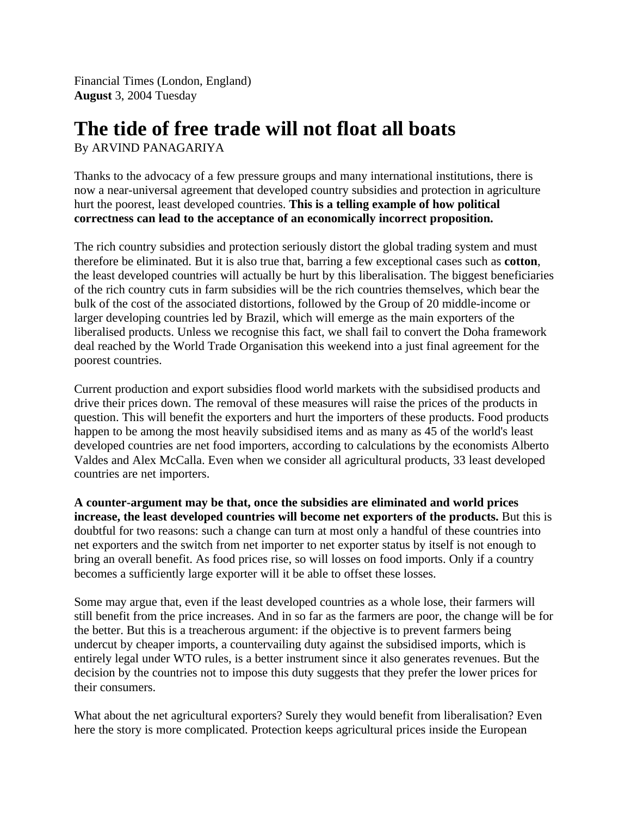Financial Times (London, England) **August** 3, 2004 Tuesday

## **The tide of free trade will not float all boats**

By ARVIND PANAGARIYA

Thanks to the advocacy of a few pressure groups and many international institutions, there is now a near-universal agreement that developed country subsidies and protection in agriculture hurt the poorest, least developed countries. **This is a telling example of how political correctness can lead to the acceptance of an economically incorrect proposition.**

The rich country subsidies and protection seriously distort the global trading system and must therefore be eliminated. But it is also true that, barring a few exceptional cases such as **cotton**, the least developed countries will actually be hurt by this liberalisation. The biggest beneficiaries of the rich country cuts in farm subsidies will be the rich countries themselves, which bear the bulk of the cost of the associated distortions, followed by the Group of 20 middle-income or larger developing countries led by Brazil, which will emerge as the main exporters of the liberalised products. Unless we recognise this fact, we shall fail to convert the Doha framework deal reached by the World Trade Organisation this weekend into a just final agreement for the poorest countries.

Current production and export subsidies flood world markets with the subsidised products and drive their prices down. The removal of these measures will raise the prices of the products in question. This will benefit the exporters and hurt the importers of these products. Food products happen to be among the most heavily subsidised items and as many as 45 of the world's least developed countries are net food importers, according to calculations by the economists Alberto Valdes and Alex McCalla. Even when we consider all agricultural products, 33 least developed countries are net importers.

**A counter-argument may be that, once the subsidies are eliminated and world prices increase, the least developed countries will become net exporters of the products.** But this is doubtful for two reasons: such a change can turn at most only a handful of these countries into net exporters and the switch from net importer to net exporter status by itself is not enough to bring an overall benefit. As food prices rise, so will losses on food imports. Only if a country becomes a sufficiently large exporter will it be able to offset these losses.

Some may argue that, even if the least developed countries as a whole lose, their farmers will still benefit from the price increases. And in so far as the farmers are poor, the change will be for the better. But this is a treacherous argument: if the objective is to prevent farmers being undercut by cheaper imports, a countervailing duty against the subsidised imports, which is entirely legal under WTO rules, is a better instrument since it also generates revenues. But the decision by the countries not to impose this duty suggests that they prefer the lower prices for their consumers.

What about the net agricultural exporters? Surely they would benefit from liberalisation? Even here the story is more complicated. Protection keeps agricultural prices inside the European